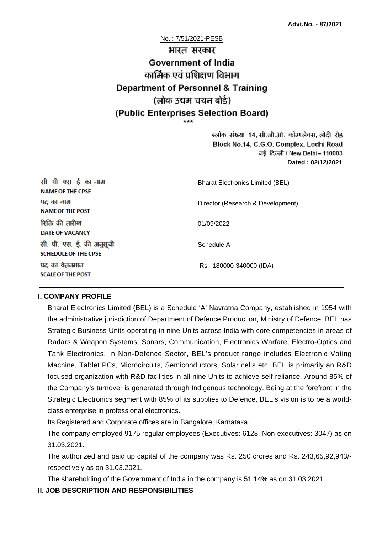# No. : 7/51/2021-PESB भारत सरकार **Government of India** कार्मिक एवं पशिक्षण विभाग **Department of Personnel & Training** (लोक उद्यम चयन बोर्ड) (Public Enterprises Selection Board)

ब्लॉक संख्या 14, सी.जी.ओ. कॉम्प्लेक्स, लोदी रोड Block No.14, C.G.O. Complex, Lodhi Road ਰई दिल्ली / New Delhi– 110003 **Dated : 02/12/2021**

| सी. पी. एस. ई. का नाम<br><b>NAME OF THE CPSE</b>         | <b>Bharat Electronics Limited (BEL)</b> |  |
|----------------------------------------------------------|-----------------------------------------|--|
| पद का नाम<br><b>NAME OF THE POST</b>                     | Director (Research & Development)       |  |
| रिक्ति की तारीख<br><b>DATE OF VACANCY</b>                | 01/09/2022                              |  |
| सी. पी. एस. ई. की अनुसूची<br><b>SCHEDULE OF THE CPSE</b> | Schedule A                              |  |
| पद का वेतनमान<br><b>SCALE OF THE POST</b>                | Rs. 180000-340000 (IDA)                 |  |

### **I. COMPANY PROFILE**

Bharat Electronics Limited (BEL) is a Schedule 'A' Navratna Company, established in 1954 with the administrative jurisdiction of Department of Defence Production, Ministry of Defence. BEL has Strategic Business Units operating in nine Units across India with core competencies in areas of Radars & Weapon Systems, Sonars, Communication, Electronics Warfare, Electro-Optics and Tank Electronics. In Non-Defence Sector, BEL's product range includes Electronic Voting Machine, Tablet PCs, Microcircuits, Semiconductors, Solar cells etc. BEL is primarily an R&D focused organization with R&D facilities in all nine Units to achieve self-reliance. Around 85% of the Company's turnover is generated through Indigenous technology. Being at the forefront in the Strategic Electronics segment with 85% of its supplies to Defence, BEL's vision is to be a worldclass enterprise in professional electronics.

Its Registered and Corporate offices are in Bangalore, Karnataka.

The company employed 9175 regular employees (Executives: 6128, Non-executives: 3047) as on 31.03.2021.

The authorized and paid up capital of the company was Rs. 250 crores and Rs. 243,65,92,943/ respectively as on 31.03.2021.

The shareholding of the Government of India in the company is 51.14% as on 31.03.2021.

## **II. JOB DESCRIPTION AND RESPONSIBILITIES**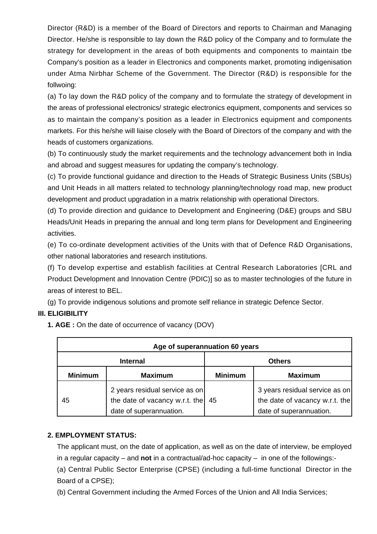Director (R&D) is a member of the Board of Directors and reports to Chairman and Managing Director. He/she is responsible to Iay down the R&D policy of the Company and to formulate the strategy for development in the areas of both equipments and components to maintain tbe Company's position as a leader in Electronics and components market, promoting indigenisation under Atma Nirbhar Scheme of the Government. The Director (R&D) is responsible for the follwoing:

(a) To lay down the R&D policy of the company and to formulate the strategy of development in the areas of professional electronics/ strategic electronics equipment, components and services so as to maintain the company's position as a leader in Electronics equipment and components markets. For this he/she will liaise closely with the Board of Directors of the company and with the heads of customers organizations.

(b) To continuously study the market requirements and the technology advancement both in India and abroad and suggest measures for updating the company's technology.

(c) To provide functional guidance and direction to the Heads of Strategic Business Units (SBUs) and Unit Heads in all matters related to technology planning/technology road map, new product development and product upgradation in a matrix relationship with operational Directors.

(d) To provide direction and guidance to Development and Engineering (D&E) groups and SBU Heads/Unit Heads in preparing the annual and long term plans for Development and Engineering activities.

(e) To co-ordinate development activities of the Units with that of Defence R&D Organisations, other national laboratories and research institutions.

(f) To develop expertise and establish facilities at Central Research Laboratories [CRL and Product Development and Innovation Centre (PDIC)] so as to master technologies of the future in areas of interest to BEL.

(g) To provide indigenous solutions and promote self reliance in strategic Defence Sector.

## **III. ELIGIBILITY**

**1. AGE :** On the date of occurrence of vacancy (DOV)

| Age of superannuation 60 years |                                                                                             |                |                                                                                             |
|--------------------------------|---------------------------------------------------------------------------------------------|----------------|---------------------------------------------------------------------------------------------|
| <b>Internal</b>                |                                                                                             | <b>Others</b>  |                                                                                             |
| <b>Minimum</b>                 | <b>Maximum</b>                                                                              | <b>Minimum</b> | <b>Maximum</b>                                                                              |
| 45                             | 2 years residual service as on<br>the date of vacancy w.r.t. the<br>date of superannuation. | 45             | 3 years residual service as on<br>the date of vacancy w.r.t. the<br>date of superannuation. |

### **2. EMPLOYMENT STATUS:**

The applicant must, on the date of application, as well as on the date of interview, be employed in a regular capacity – and **not** in a contractual/ad-hoc capacity – in one of the followings:-

(a) Central Public Sector Enterprise (CPSE) (including a full-time functional Director in the Board of a CPSE);

(b) Central Government including the Armed Forces of the Union and All India Services;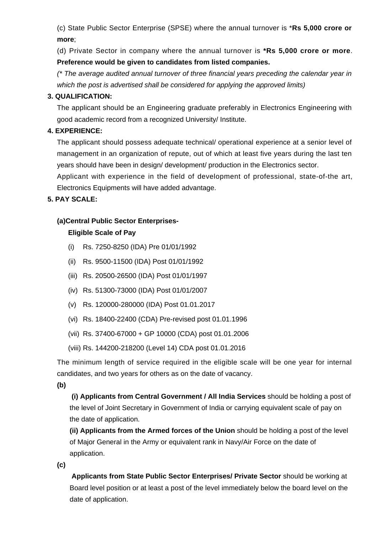(c) State Public Sector Enterprise (SPSE) where the annual turnover is \***Rs 5,000 crore or more**;

(d) Private Sector in company where the annual turnover is **\*Rs 5,000 crore or more**. **Preference would be given to candidates from listed companies.**

(\* The average audited annual turnover of three financial years preceding the calendar year in which the post is advertised shall be considered for applying the approved limits)

### **3. QUALIFICATION:**

The applicant should be an Engineering graduate preferably in Electronics Engineering with good academic record from a recognized University/ Institute.

## **4. EXPERIENCE:**

The applicant should possess adequate technical/ operational experience at a senior level of management in an organization of repute, out of which at least five years during the last ten years should have been in design/ development/ production in the Electronics sector.

Applicant with experience in the field of development of professional, state-of-the art, Electronics Equipments will have added advantage.

## **5. PAY SCALE:**

## **(a)Central Public Sector Enterprises-**

## **Eligible Scale of Pay**

- (i) Rs. 7250-8250 (IDA) Pre 01/01/1992
- (ii) Rs. 9500-11500 (IDA) Post 01/01/1992
- (iii) Rs. 20500-26500 (IDA) Post 01/01/1997
- (iv) Rs. 51300-73000 (IDA) Post 01/01/2007
- (v) Rs. 120000-280000 (IDA) Post 01.01.2017
- (vi) Rs. 18400-22400 (CDA) Pre-revised post 01.01.1996
- (vii) Rs. 37400-67000 + GP 10000 (CDA) post 01.01.2006
- (viii) Rs. 144200-218200 (Level 14) CDA post 01.01.2016

The minimum length of service required in the eligible scale will be one year for internal candidates, and two years for others as on the date of vacancy.

**(b)**

**(i) Applicants from Central Government / All India Services** should be holding a post of the level of Joint Secretary in Government of India or carrying equivalent scale of pay on the date of application.

**(ii) Applicants from the Armed forces of the Union** should be holding a post of the level of Major General in the Army or equivalent rank in Navy/Air Force on the date of application.

**(c)**

 **Applicants from State Public Sector Enterprises/ Private Sector** should be working at Board level position or at least a post of the level immediately below the board level on the date of application.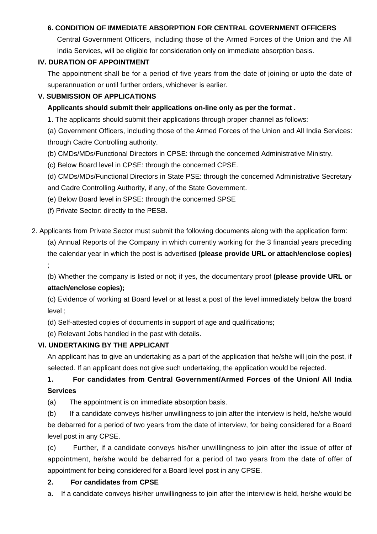## **6. CONDITION OF IMMEDIATE ABSORPTION FOR CENTRAL GOVERNMENT OFFICERS**

Central Government Officers, including those of the Armed Forces of the Union and the All India Services, will be eligible for consideration only on immediate absorption basis.

### **IV. DURATION OF APPOINTMENT**

The appointment shall be for a period of five years from the date of joining or upto the date of superannuation or until further orders, whichever is earlier.

### **V. SUBMISSION OF APPLICATIONS**

### **Applicants should submit their applications on-line only as per the format .**

1. The applicants should submit their applications through proper channel as follows:

(a) Government Officers, including those of the Armed Forces of the Union and All India Services: through Cadre Controlling authority.

- (b) CMDs/MDs/Functional Directors in CPSE: through the concerned Administrative Ministry.
- (c) Below Board level in CPSE: through the concerned CPSE.
- (d) CMDs/MDs/Functional Directors in State PSE: through the concerned Administrative Secretary
- and Cadre Controlling Authority, if any, of the State Government.
- (e) Below Board level in SPSE: through the concerned SPSE
- (f) Private Sector: directly to the PESB.

2. Applicants from Private Sector must submit the following documents along with the application form:

(a) Annual Reports of the Company in which currently working for the 3 financial years preceding the calendar year in which the post is advertised **(please provide URL or attach/enclose copies)**

;

(b) Whether the company is listed or not; if yes, the documentary proof **(please provide URL or attach/enclose copies);**

(c) Evidence of working at Board level or at least a post of the level immediately below the board level ;

- (d) Self-attested copies of documents in support of age and qualifications;
- (e) Relevant Jobs handled in the past with details.

### **VI. UNDERTAKING BY THE APPLICANT**

An applicant has to give an undertaking as a part of the application that he/she will join the post, if selected. If an applicant does not give such undertaking, the application would be rejected.

## **1. For candidates from Central Government/Armed Forces of the Union/ All India Services**

(a) The appointment is on immediate absorption basis.

(b) If a candidate conveys his/her unwillingness to join after the interview is held, he/she would be debarred for a period of two years from the date of interview, for being considered for a Board level post in any CPSE.

(c) Further, if a candidate conveys his/her unwillingness to join after the issue of offer of appointment, he/she would be debarred for a period of two years from the date of offer of appointment for being considered for a Board level post in any CPSE.

### **2. For candidates from CPSE**

a. If a candidate conveys his/her unwillingness to join after the interview is held, he/she would be